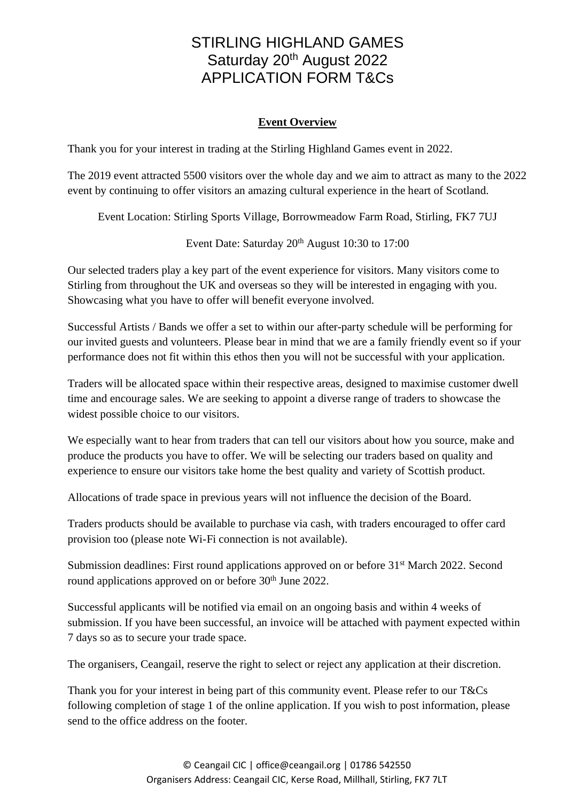### **Event Overview**

Thank you for your interest in trading at the Stirling Highland Games event in 2022.

The 2019 event attracted 5500 visitors over the whole day and we aim to attract as many to the 2022 event by continuing to offer visitors an amazing cultural experience in the heart of Scotland.

Event Location: Stirling Sports Village, Borrowmeadow Farm Road, Stirling, FK7 7UJ

Event Date: Saturday 20<sup>th</sup> August 10:30 to 17:00

Our selected traders play a key part of the event experience for visitors. Many visitors come to Stirling from throughout the UK and overseas so they will be interested in engaging with you. Showcasing what you have to offer will benefit everyone involved.

Successful Artists / Bands we offer a set to within our after-party schedule will be performing for our invited guests and volunteers. Please bear in mind that we are a family friendly event so if your performance does not fit within this ethos then you will not be successful with your application.

Traders will be allocated space within their respective areas, designed to maximise customer dwell time and encourage sales. We are seeking to appoint a diverse range of traders to showcase the widest possible choice to our visitors.

We especially want to hear from traders that can tell our visitors about how you source, make and produce the products you have to offer. We will be selecting our traders based on quality and experience to ensure our visitors take home the best quality and variety of Scottish product.

Allocations of trade space in previous years will not influence the decision of the Board.

Traders products should be available to purchase via cash, with traders encouraged to offer card provision too (please note Wi-Fi connection is not available).

Submission deadlines: First round applications approved on or before 31<sup>st</sup> March 2022. Second round applications approved on or before 30<sup>th</sup> June 2022.

Successful applicants will be notified via email on an ongoing basis and within 4 weeks of submission. If you have been successful, an invoice will be attached with payment expected within 7 days so as to secure your trade space.

The organisers, Ceangail, reserve the right to select or reject any application at their discretion.

Thank you for your interest in being part of this community event. Please refer to our T&Cs following completion of stage 1 of the online application. If you wish to post information, please send to the office address on the footer.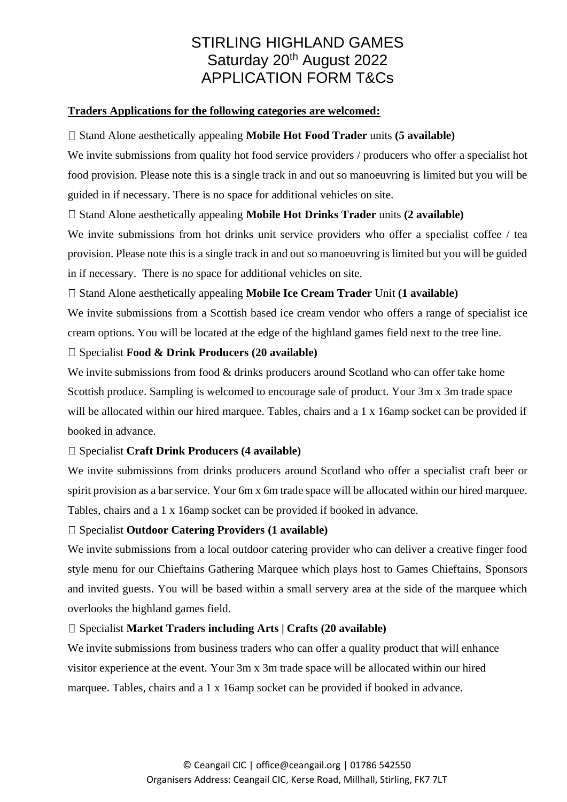#### **Traders Applications for the following categories are welcomed:**

#### □ Stand Alone aesthetically appealing **Mobile Hot Food Trader** units **(5 available)**

We invite submissions from quality hot food service providers / producers who offer a specialist hot food provision. Please note this is a single track in and out so manoeuvring is limited but you will be guided in if necessary. There is no space for additional vehicles on site.

### Stand Alone aesthetically appealing **Mobile Hot Drinks Trader** units **(2 available)**

We invite submissions from hot drinks unit service providers who offer a specialist coffee / tea provision. Please note this is a single track in and out so manoeuvring is limited but you will be guided in if necessary. There is no space for additional vehicles on site.

### Stand Alone aesthetically appealing **Mobile Ice Cream Trader** Unit **(1 available)**

We invite submissions from a Scottish based ice cream vendor who offers a range of specialist ice cream options. You will be located at the edge of the highland games field next to the tree line.

#### Specialist **Food & Drink Producers (20 available)**

We invite submissions from food & drinks producers around Scotland who can offer take home Scottish produce. Sampling is welcomed to encourage sale of product. Your 3m x 3m trade space will be allocated within our hired marquee. Tables, chairs and a 1 x 16amp socket can be provided if booked in advance.

### Specialist **Craft Drink Producers (4 available)**

We invite submissions from drinks producers around Scotland who offer a specialist craft beer or spirit provision as a bar service. Your 6m x 6m trade space will be allocated within our hired marquee. Tables, chairs and a 1 x 16amp socket can be provided if booked in advance.

### Specialist **Outdoor Catering Providers (1 available)**

We invite submissions from a local outdoor catering provider who can deliver a creative finger food style menu for our Chieftains Gathering Marquee which plays host to Games Chieftains, Sponsors and invited guests. You will be based within a small servery area at the side of the marquee which overlooks the highland games field.

### Specialist **Market Traders including Arts | Crafts (20 available)**

We invite submissions from business traders who can offer a quality product that will enhance visitor experience at the event. Your 3m x 3m trade space will be allocated within our hired marquee. Tables, chairs and a 1 x 16amp socket can be provided if booked in advance.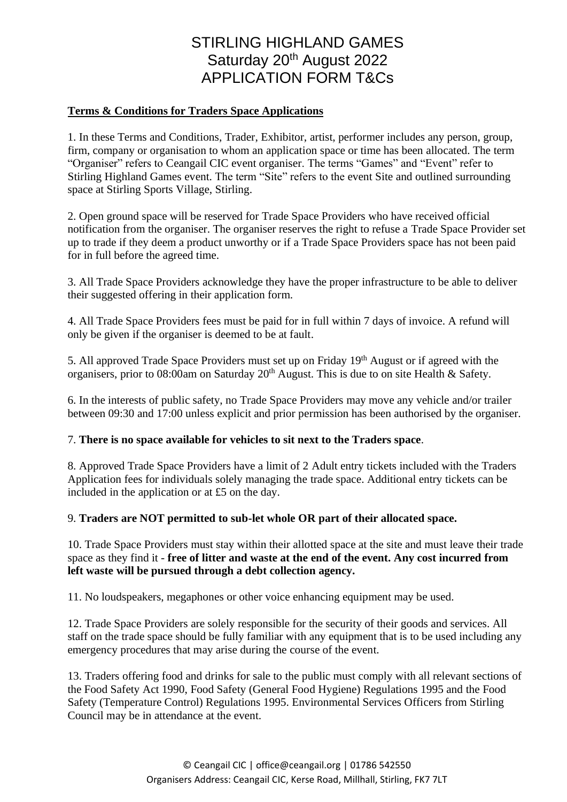#### **Terms & Conditions for Traders Space Applications**

1. In these Terms and Conditions, Trader, Exhibitor, artist, performer includes any person, group, firm, company or organisation to whom an application space or time has been allocated. The term "Organiser" refers to Ceangail CIC event organiser. The terms "Games" and "Event" refer to Stirling Highland Games event. The term "Site" refers to the event Site and outlined surrounding space at Stirling Sports Village, Stirling.

2. Open ground space will be reserved for Trade Space Providers who have received official notification from the organiser. The organiser reserves the right to refuse a Trade Space Provider set up to trade if they deem a product unworthy or if a Trade Space Providers space has not been paid for in full before the agreed time.

3. All Trade Space Providers acknowledge they have the proper infrastructure to be able to deliver their suggested offering in their application form.

4. All Trade Space Providers fees must be paid for in full within 7 days of invoice. A refund will only be given if the organiser is deemed to be at fault.

5. All approved Trade Space Providers must set up on Friday 19<sup>th</sup> August or if agreed with the organisers, prior to 08:00am on Saturday 20th August. This is due to on site Health & Safety.

6. In the interests of public safety, no Trade Space Providers may move any vehicle and/or trailer between 09:30 and 17:00 unless explicit and prior permission has been authorised by the organiser.

### 7. **There is no space available for vehicles to sit next to the Traders space**.

8. Approved Trade Space Providers have a limit of 2 Adult entry tickets included with the Traders Application fees for individuals solely managing the trade space. Additional entry tickets can be included in the application or at £5 on the day.

### 9. **Traders are NOT permitted to sub-let whole OR part of their allocated space.**

10. Trade Space Providers must stay within their allotted space at the site and must leave their trade space as they find it - **free of litter and waste at the end of the event. Any cost incurred from left waste will be pursued through a debt collection agency.**

11. No loudspeakers, megaphones or other voice enhancing equipment may be used.

12. Trade Space Providers are solely responsible for the security of their goods and services. All staff on the trade space should be fully familiar with any equipment that is to be used including any emergency procedures that may arise during the course of the event.

13. Traders offering food and drinks for sale to the public must comply with all relevant sections of the Food Safety Act 1990, Food Safety (General Food Hygiene) Regulations 1995 and the Food Safety (Temperature Control) Regulations 1995. Environmental Services Officers from Stirling Council may be in attendance at the event.